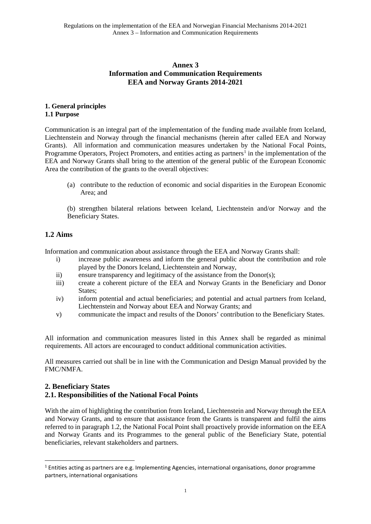### **Annex 3 Information and Communication Requirements EEA and Norway Grants 2014-2021**

#### **1. General principles 1.1 Purpose**

Communication is an integral part of the implementation of the funding made available from Iceland, Liechtenstein and Norway through the financial mechanisms (herein after called EEA and Norway Grants). All information and communication measures undertaken by the National Focal Points, Programme Operators, Project Promoters, and entities acting as partners<sup>[1](#page-0-0)</sup> in the implementation of the EEA and Norway Grants shall bring to the attention of the general public of the European Economic Area the contribution of the grants to the overall objectives:

(a) contribute to the reduction of economic and social disparities in the European Economic Area; and

(b) strengthen bilateral relations between Iceland, Liechtenstein and/or Norway and the Beneficiary States.

# **1.2 Aims**

 $\overline{a}$ 

Information and communication about assistance through the EEA and Norway Grants shall:

- i) increase public awareness and inform the general public about the contribution and role played by the Donors Iceland, Liechtenstein and Norway,
- ii) ensure transparency and legitimacy of the assistance from the Donor(s);
- iii) create a coherent picture of the EEA and Norway Grants in the Beneficiary and Donor States;
- iv) inform potential and actual beneficiaries; and potential and actual partners from Iceland, Liechtenstein and Norway about EEA and Norway Grants; and
- v) communicate the impact and results of the Donors' contribution to the Beneficiary States.

All information and communication measures listed in this Annex shall be regarded as minimal requirements. All actors are encouraged to conduct additional communication activities.

All measures carried out shall be in line with the Communication and Design Manual provided by the FMC/NMFA.

# **2. Beneficiary States 2.1. Responsibilities of the National Focal Points**

With the aim of highlighting the contribution from Iceland, Liechtenstein and Norway through the EEA and Norway Grants, and to ensure that assistance from the Grants is transparent and fulfil the aims referred to in paragraph 1.2, the National Focal Point shall proactively provide information on the EEA and Norway Grants and its Programmes to the general public of the Beneficiary State, potential beneficiaries, relevant stakeholders and partners.

<span id="page-0-0"></span><sup>&</sup>lt;sup>1</sup> Entities acting as partners are e.g. Implementing Agencies, international organisations, donor programme partners, international organisations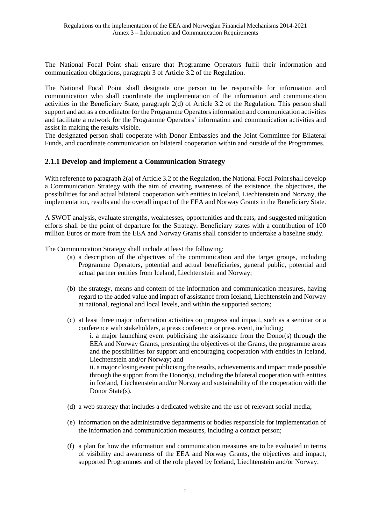The National Focal Point shall ensure that Programme Operators fulfil their information and communication obligations, paragraph 3 of Article 3.2 of the Regulation.

The National Focal Point shall designate one person to be responsible for information and communication who shall coordinate the implementation of the information and communication activities in the Beneficiary State, paragraph 2(d) of Article 3.2 of the Regulation. This person shall support and act as a coordinator for the Programme Operators information and communication activities and facilitate a network for the Programme Operators' information and communication activities and assist in making the results visible.

The designated person shall cooperate with Donor Embassies and the Joint Committee for Bilateral Funds, and coordinate communication on bilateral cooperation within and outside of the Programmes.

### **2.1.1 Develop and implement a Communication Strategy**

With reference to paragraph 2(a) of Article 3.2 of the Regulation, the National Focal Point shall develop a Communication Strategy with the aim of creating awareness of the existence, the objectives, the possibilities for and actual bilateral cooperation with entities in Iceland, Liechtenstein and Norway, the implementation, results and the overall impact of the EEA and Norway Grants in the Beneficiary State.

A SWOT analysis, evaluate strengths, weaknesses, opportunities and threats, and suggested mitigation efforts shall be the point of departure for the Strategy. Beneficiary states with a contribution of 100 million Euros or more from the EEA and Norway Grants shall consider to undertake a baseline study.

The Communication Strategy shall include at least the following:

- (a) a description of the objectives of the communication and the target groups, including Programme Operators, potential and actual beneficiaries, general public, potential and actual partner entities from Iceland, Liechtenstein and Norway;
- (b) the strategy, means and content of the information and communication measures, having regard to the added value and impact of assistance from Iceland, Liechtenstein and Norway at national, regional and local levels, and within the supported sectors;
- (c) at least three major information activities on progress and impact, such as a seminar or a conference with stakeholders, a press conference or press event, including;

i. a major launching event publicising the assistance from the Donor(s) through the EEA and Norway Grants, presenting the objectives of the Grants, the programme areas and the possibilities for support and encouraging cooperation with entities in Iceland, Liechtenstein and/or Norway; and

ii. a major closing event publicising the results, achievements and impact made possible through the support from the Donor(s), including the bilateral cooperation with entities in Iceland, Liechtenstein and/or Norway and sustainability of the cooperation with the Donor State(s).

- (d) a web strategy that includes a dedicated website and the use of relevant social media;
- (e) information on the administrative departments or bodies responsible for implementation of the information and communication measures, including a contact person;
- (f) a plan for how the information and communication measures are to be evaluated in terms of visibility and awareness of the EEA and Norway Grants, the objectives and impact, supported Programmes and of the role played by Iceland, Liechtenstein and/or Norway.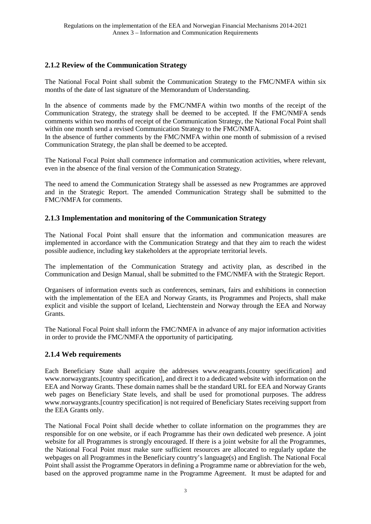# **2.1.2 Review of the Communication Strategy**

The National Focal Point shall submit the Communication Strategy to the FMC/NMFA within six months of the date of last signature of the Memorandum of Understanding.

In the absence of comments made by the FMC/NMFA within two months of the receipt of the Communication Strategy, the strategy shall be deemed to be accepted. If the FMC/NMFA sends comments within two months of receipt of the Communication Strategy, the National Focal Point shall within one month send a revised Communication Strategy to the FMC/NMFA.

In the absence of further comments by the FMC/NMFA within one month of submission of a revised Communication Strategy, the plan shall be deemed to be accepted.

The National Focal Point shall commence information and communication activities, where relevant, even in the absence of the final version of the Communication Strategy.

The need to amend the Communication Strategy shall be assessed as new Programmes are approved and in the Strategic Report. The amended Communication Strategy shall be submitted to the FMC/NMFA for comments.

# **2.1.3 Implementation and monitoring of the Communication Strategy**

The National Focal Point shall ensure that the information and communication measures are implemented in accordance with the Communication Strategy and that they aim to reach the widest possible audience, including key stakeholders at the appropriate territorial levels.

The implementation of the Communication Strategy and activity plan, as described in the Communication and Design Manual, shall be submitted to the FMC/NMFA with the Strategic Report.

Organisers of information events such as conferences, seminars, fairs and exhibitions in connection with the implementation of the EEA and Norway Grants, its Programmes and Projects, shall make explicit and visible the support of Iceland, Liechtenstein and Norway through the EEA and Norway **Grants** 

The National Focal Point shall inform the FMC/NMFA in advance of any major information activities in order to provide the FMC/NMFA the opportunity of participating.

#### **2.1.4 Web requirements**

Each Beneficiary State shall acquire the addresses www.eeagrants.[country specification] and www.norwaygrants.[country specification], and direct it to a dedicated website with information on the EEA and Norway Grants. These domain names shall be the standard URL for EEA and Norway Grants web pages on Beneficiary State levels, and shall be used for promotional purposes. The address www.norwaygrants.[country specification] is not required of Beneficiary States receiving support from the EEA Grants only.

The National Focal Point shall decide whether to collate information on the programmes they are responsible for on one website, or if each Programme has their own dedicated web presence. A joint website for all Programmes is strongly encouraged. If there is a joint website for all the Programmes, the National Focal Point must make sure sufficient resources are allocated to regularly update the webpages on all Programmes in the Beneficiary country's language(s) and English. The National Focal Point shall assist the Programme Operators in defining a Programme name or abbreviation for the web, based on the approved programme name in the Programme Agreement. It must be adapted for and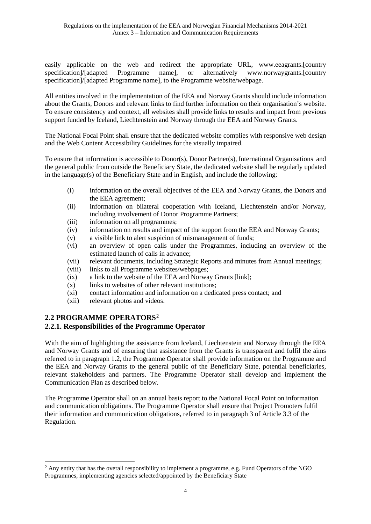easily applicable on the web and redirect the appropriate URL, www.eeagrants.[country specification]/[adapted Programme name], or alternatively www.norwaygrants.[country specification]/[adapted Programme name], to the Programme website/webpage.

All entities involved in the implementation of the EEA and Norway Grants should include information about the Grants, Donors and relevant links to find further information on their organisation's website. To ensure consistency and context, all websites shall provide links to results and impact from previous support funded by Iceland, Liechtenstein and Norway through the EEA and Norway Grants.

The National Focal Point shall ensure that the dedicated website complies with responsive web design and the Web Content Accessibility Guidelines for the visually impaired.

To ensure that information is accessible to Donor(s), Donor Partner(s), International Organisations and the general public from outside the Beneficiary State, the dedicated website shall be regularly updated in the language(s) of the Beneficiary State and in English, and include the following:

- (i) information on the overall objectives of the EEA and Norway Grants, the Donors and the EEA agreement;
- (ii) information on bilateral cooperation with Iceland, Liechtenstein and/or Norway, including involvement of Donor Programme Partners;
- (iii) information on all programmes;
- (iv) information on results and impact of the support from the EEA and Norway Grants;
- (v) a visible link to alert suspicion of mismanagement of funds;
- (vi) an overview of open calls under the Programmes, including an overview of the estimated launch of calls in advance;
- (vii) relevant documents, including Strategic Reports and minutes from Annual meetings;
- (viii) links to all Programme websites/webpages;
- (ix) a link to the website of the EEA and Norway Grants [link];
- (x) links to websites of other relevant institutions;
- (xi) contact information and information on a dedicated press contact; and
- (xii) relevant photos and videos.

### **2.2 PROGRAMME OPERATORS[2](#page-3-0)**

#### **2.2.1. Responsibilities of the Programme Operator**

With the aim of highlighting the assistance from Iceland, Liechtenstein and Norway through the EEA and Norway Grants and of ensuring that assistance from the Grants is transparent and fulfil the aims referred to in paragraph 1.2, the Programme Operator shall provide information on the Programme and the EEA and Norway Grants to the general public of the Beneficiary State, potential beneficiaries, relevant stakeholders and partners. The Programme Operator shall develop and implement the Communication Plan as described below.

The Programme Operator shall on an annual basis report to the National Focal Point on information and communication obligations. The Programme Operator shall ensure that Project Promoters fulfil their information and communication obligations, referred to in paragraph 3 of Article 3.3 of the Regulation.

<span id="page-3-0"></span><sup>&</sup>lt;sup>2</sup> Any entity that has the overall responsibility to implement a programme, e.g. Fund Operators of the NGO Programmes, implementing agencies selected/appointed by the Beneficiary State  $\overline{a}$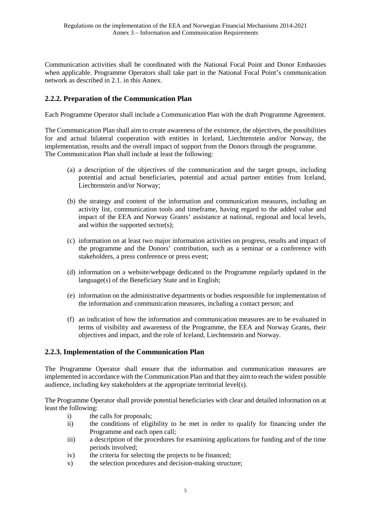Communication activities shall be coordinated with the National Focal Point and Donor Embassies when applicable. Programme Operators shall take part in the National Focal Point's communication network as described in 2.1. in this Annex.

### **2.2.2. Preparation of the Communication Plan**

Each Programme Operator shall include a Communication Plan with the draft Programme Agreement.

The Communication Plan shall aim to create awareness of the existence, the objectives, the possibilities for and actual bilateral cooperation with entities in Iceland, Liechtenstein and/or Norway, the implementation, results and the overall impact of support from the Donors through the programme. The Communication Plan shall include at least the following:

- (a) a description of the objectives of the communication and the target groups, including potential and actual beneficiaries, potential and actual partner entities from Iceland, Liechtenstein and/or Norway;
- (b) the strategy and content of the information and communication measures, including an activity list, communication tools and timeframe, having regard to the added value and impact of the EEA and Norway Grants' assistance at national, regional and local levels, and within the supported sector(s);
- (c) information on at least two major information activities on progress, results and impact of the programme and the Donors' contribution, such as a seminar or a conference with stakeholders, a press conference or press event;
- (d) information on a website/webpage dedicated to the Programme regularly updated in the language(s) of the Beneficiary State and in English;
- (e) information on the administrative departments or bodies responsible for implementation of the information and communication measures, including a contact person; and
- (f) an indication of how the information and communication measures are to be evaluated in terms of visibility and awareness of the Programme, the EEA and Norway Grants, their objectives and impact, and the role of Iceland, Liechtenstein and Norway.

#### **2.2.3. Implementation of the Communication Plan**

The Programme Operator shall ensure that the information and communication measures are implemented in accordance with the Communication Plan and that they aim to reach the widest possible audience, including key stakeholders at the appropriate territorial level(s).

The Programme Operator shall provide potential beneficiaries with clear and detailed information on at least the following:

- i) the calls for proposals;
- ii) the conditions of eligibility to be met in order to qualify for financing under the Programme and each open call;
- iii) a description of the procedures for examining applications for funding and of the time periods involved;
- iv) the criteria for selecting the projects to be financed;
- v) the selection procedures and decision-making structure;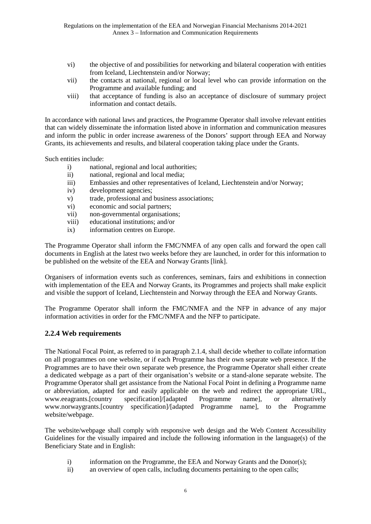- vi) the objective of and possibilities for networking and bilateral cooperation with entities from Iceland, Liechtenstein and/or Norway;
- vii) the contacts at national, regional or local level who can provide information on the Programme and available funding; and
- viii) that acceptance of funding is also an acceptance of disclosure of summary project information and contact details.

In accordance with national laws and practices, the Programme Operator shall involve relevant entities that can widely disseminate the information listed above in information and communication measures and inform the public in order increase awareness of the Donors' support through EEA and Norway Grants, its achievements and results, and bilateral cooperation taking place under the Grants.

Such entities include:

- i) national, regional and local authorities;
- ii) national, regional and local media;
- iii) Embassies and other representatives of Iceland, Liechtenstein and/or Norway;
- iv) development agencies;
- v) trade, professional and business associations;
- vi) economic and social partners;
- vii) non-governmental organisations;
- viii) educational institutions; and/or
- ix) information centres on Europe.

The Programme Operator shall inform the FMC/NMFA of any open calls and forward the open call documents in English at the latest two weeks before they are launched, in order for this information to be published on the website of the EEA and Norway Grants [link].

Organisers of information events such as conferences, seminars, fairs and exhibitions in connection with implementation of the EEA and Norway Grants, its Programmes and projects shall make explicit and visible the support of Iceland, Liechtenstein and Norway through the EEA and Norway Grants.

The Programme Operator shall inform the FMC/NMFA and the NFP in advance of any major information activities in order for the FMC/NMFA and the NFP to participate.

#### **2.2.4 Web requirements**

The National Focal Point, as referred to in paragraph 2.1.4, shall decide whether to collate information on all programmes on one website, or if each Programme has their own separate web presence. If the Programmes are to have their own separate web presence, the Programme Operator shall either create a dedicated webpage as a part of their organisation's website or a stand-alone separate website. The Programme Operator shall get assistance from the National Focal Point in defining a Programme name or abbreviation, adapted for and easily applicable on the web and redirect the appropriate URL, www.eeagrants. [country specification]/[adapted Programme name], or alternatively www.eeagrants.[country specification]/[adapted Programme name], or alternatively www.norwaygrants.[country specification]/[adapted Programme name], to the Programme website/webpage.

The website/webpage shall comply with responsive web design and the Web Content Accessibility Guidelines for the visually impaired and include the following information in the language(s) of the Beneficiary State and in English:

- i) information on the Programme, the EEA and Norway Grants and the Donor(s);
- ii) an overview of open calls, including documents pertaining to the open calls;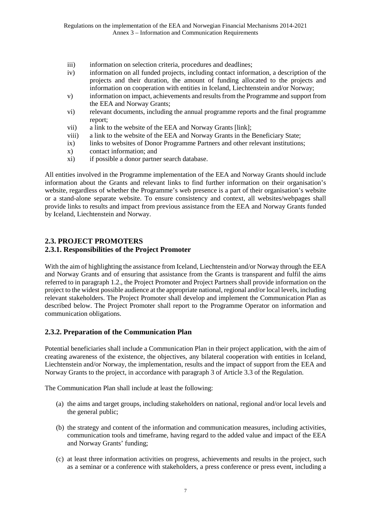- iii) information on selection criteria, procedures and deadlines;
- iv) information on all funded projects, including contact information, a description of the projects and their duration, the amount of funding allocated to the projects and information on cooperation with entities in Iceland, Liechtenstein and/or Norway;
- v) information on impact, achievements and results from the Programme and support from the EEA and Norway Grants;
- vi) relevant documents, including the annual programme reports and the final programme report;
- vii) a link to the website of the EEA and Norway Grants [link];
- viii) a link to the website of the EEA and Norway Grants in the Beneficiary State;
- ix) links to websites of Donor Programme Partners and other relevant institutions;
- x) contact information; and
- xi) if possible a donor partner search database.

All entities involved in the Programme implementation of the EEA and Norway Grants should include information about the Grants and relevant links to find further information on their organisation's website, regardless of whether the Programme's web presence is a part of their organisation's website or a stand-alone separate website. To ensure consistency and context, all websites/webpages shall provide links to results and impact from previous assistance from the EEA and Norway Grants funded by Iceland, Liechtenstein and Norway.

# **2.3. PROJECT PROMOTERS**

#### **2.3.1. Responsibilities of the Project Promoter**

With the aim of highlighting the assistance from Iceland, Liechtenstein and/or Norway through the EEA and Norway Grants and of ensuring that assistance from the Grants is transparent and fulfil the aims referred to in paragraph 1.2., the Project Promoter and Project Partners shall provide information on the project to the widest possible audience at the appropriate national, regional and/or local levels, including relevant stakeholders. The Project Promoter shall develop and implement the Communication Plan as described below. The Project Promoter shall report to the Programme Operator on information and communication obligations.

#### **2.3.2. Preparation of the Communication Plan**

Potential beneficiaries shall include a Communication Plan in their project application, with the aim of creating awareness of the existence, the objectives, any bilateral cooperation with entities in Iceland, Liechtenstein and/or Norway, the implementation, results and the impact of support from the EEA and Norway Grants to the project, in accordance with paragraph 3 of Article 3.3 of the Regulation.

The Communication Plan shall include at least the following:

- (a) the aims and target groups, including stakeholders on national, regional and/or local levels and the general public;
- (b) the strategy and content of the information and communication measures, including activities, communication tools and timeframe, having regard to the added value and impact of the EEA and Norway Grants' funding;
- (c) at least three information activities on progress, achievements and results in the project, such as a seminar or a conference with stakeholders, a press conference or press event, including a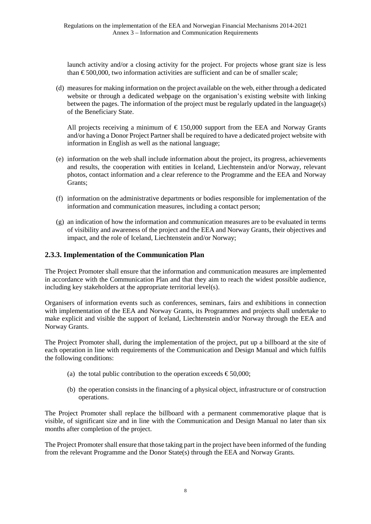launch activity and/or a closing activity for the project. For projects whose grant size is less than  $\epsilon$ 500,000, two information activities are sufficient and can be of smaller scale;

(d) measures for making information on the project available on the web, either through a dedicated website or through a dedicated webpage on the organisation's existing website with linking between the pages. The information of the project must be regularly updated in the language(s) of the Beneficiary State.

All projects receiving a minimum of  $\epsilon$  150,000 support from the EEA and Norway Grants and/or having a Donor Project Partner shall be required to have a dedicated project website with information in English as well as the national language;

- (e) information on the web shall include information about the project, its progress, achievements and results, the cooperation with entities in Iceland, Liechtenstein and/or Norway, relevant photos, contact information and a clear reference to the Programme and the EEA and Norway Grants;
- (f) information on the administrative departments or bodies responsible for implementation of the information and communication measures, including a contact person;
- (g) an indication of how the information and communication measures are to be evaluated in terms of visibility and awareness of the project and the EEA and Norway Grants, their objectives and impact, and the role of Iceland, Liechtenstein and/or Norway;

#### **2.3.3. Implementation of the Communication Plan**

The Project Promoter shall ensure that the information and communication measures are implemented in accordance with the Communication Plan and that they aim to reach the widest possible audience, including key stakeholders at the appropriate territorial level(s).

Organisers of information events such as conferences, seminars, fairs and exhibitions in connection with implementation of the EEA and Norway Grants, its Programmes and projects shall undertake to make explicit and visible the support of Iceland, Liechtenstein and/or Norway through the EEA and Norway Grants.

The Project Promoter shall, during the implementation of the project, put up a billboard at the site of each operation in line with requirements of the Communication and Design Manual and which fulfils the following conditions:

- (a) the total public contribution to the operation exceeds  $\epsilon$  50,000;
- (b) the operation consists in the financing of a physical object, infrastructure or of construction operations.

The Project Promoter shall replace the billboard with a permanent commemorative plaque that is visible, of significant size and in line with the Communication and Design Manual no later than six months after completion of the project.

The Project Promoter shall ensure that those taking part in the project have been informed of the funding from the relevant Programme and the Donor State(s) through the EEA and Norway Grants.